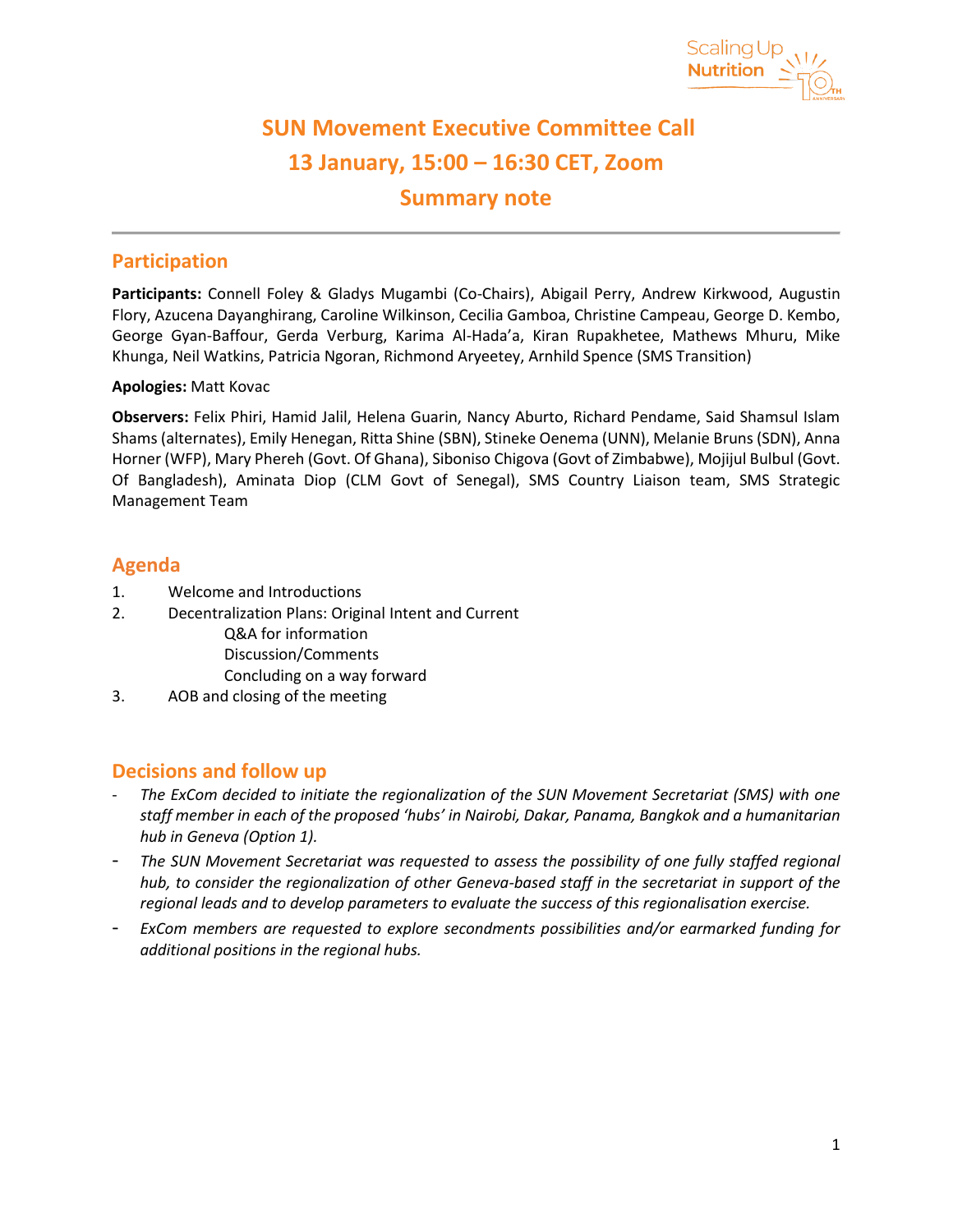

# **SUN Movement Executive Committee Call 13 January, 15:00 – 16:30 CET, Zoom Summary note**

## **Participation**

**Participants:** Connell Foley & Gladys Mugambi (Co-Chairs), Abigail Perry, Andrew Kirkwood, Augustin Flory, Azucena Dayanghirang, Caroline Wilkinson, Cecilia Gamboa, Christine Campeau, George D. Kembo, George Gyan-Baffour, Gerda Verburg, Karima Al-Hada'a, Kiran Rupakhetee, Mathews Mhuru, Mike Khunga, Neil Watkins, Patricia Ngoran, Richmond Aryeetey, Arnhild Spence (SMS Transition)

## **Apologies:** Matt Kovac

**Observers:** Felix Phiri, Hamid Jalil, Helena Guarin, Nancy Aburto, Richard Pendame, Said Shamsul Islam Shams (alternates), Emily Henegan, Ritta Shine (SBN), Stineke Oenema (UNN), Melanie Bruns (SDN), Anna Horner (WFP), Mary Phereh (Govt. Of Ghana), Siboniso Chigova (Govt of Zimbabwe), Mojijul Bulbul (Govt. Of Bangladesh), Aminata Diop (CLM Govt of Senegal), SMS Country Liaison team, SMS Strategic Management Team

# **Agenda**

- 1. Welcome and Introductions
- 2. Decentralization Plans: Original Intent and Current
	- Q&A for information
		- Discussion/Comments
		- Concluding on a way forward
- 3. AOB and closing of the meeting

## **Decisions and follow up**

- *The ExCom decided to initiate the regionalization of the SUN Movement Secretariat (SMS) with one staff member in each of the proposed 'hubs' in Nairobi, Dakar, Panama, Bangkok and a humanitarian hub in Geneva (Option 1).*
- *The SUN Movement Secretariat was requested to assess the possibility of one fully staffed regional hub, to consider the regionalization of other Geneva-based staff in the secretariat in support of the regional leads and to develop parameters to evaluate the success of this regionalisation exercise.*
- *ExCom members are requested to explore secondments possibilities and/or earmarked funding for additional positions in the regional hubs.*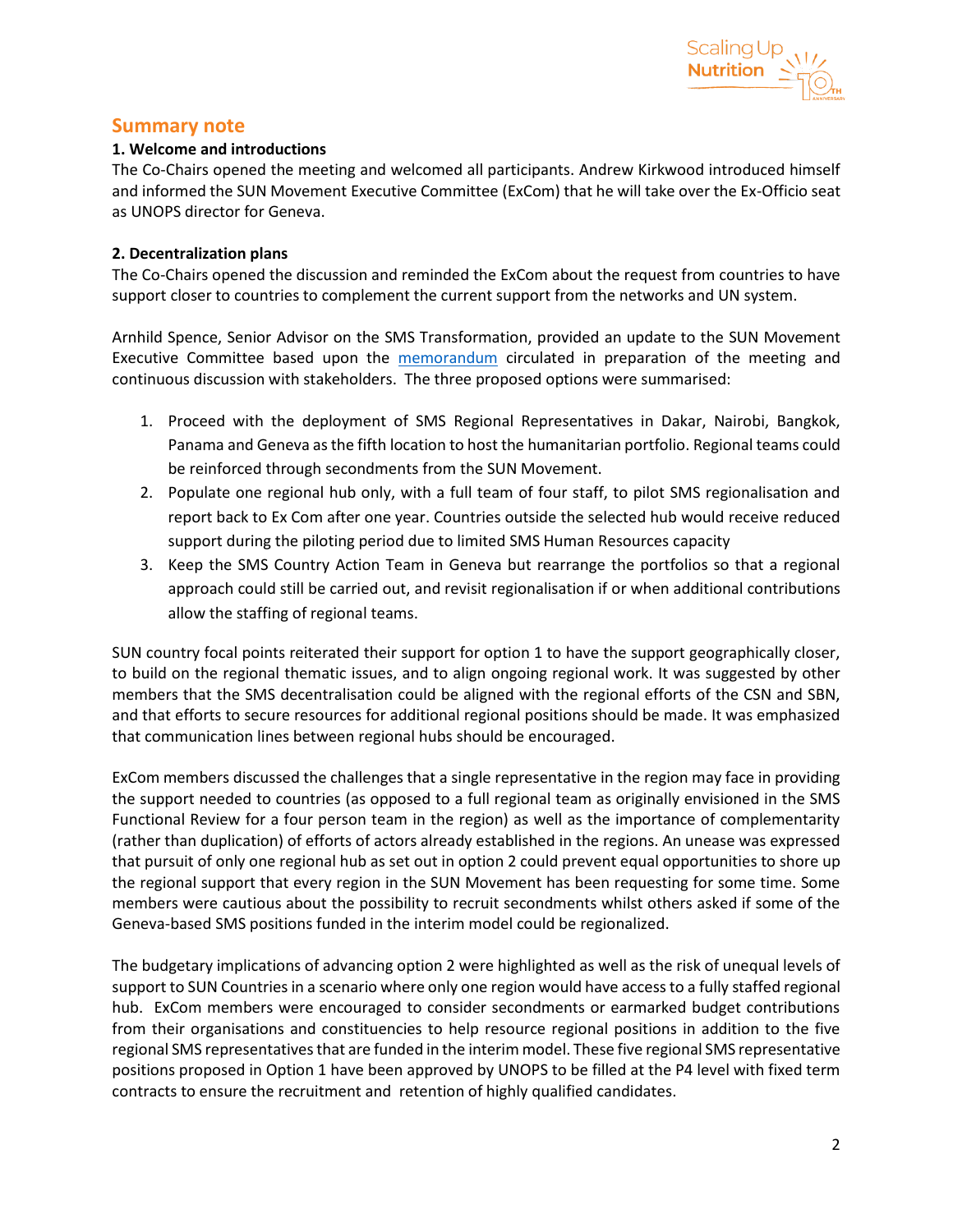

## **Summary note**

## **1. Welcome and introductions**

The Co-Chairs opened the meeting and welcomed all participants. Andrew Kirkwood introduced himself and informed the SUN Movement Executive Committee (ExCom) that he will take over the Ex-Officio seat as UNOPS director for Geneva.

#### **2. Decentralization plans**

The Co-Chairs opened the discussion and reminded the ExCom about the request from countries to have support closer to countries to complement the current support from the networks and UN system.

Arnhild Spence, Senior Advisor on the SMS Transformation, provided an update to the SUN Movement Executive Committee based upon the [memorandum](https://scalingupnutrition.sharepoint.com/:b:/s/public55/EWqr64NppLpPvaC1iTYKtVQBpgCel1rioNMSqlkOu_luSA?e=xmCb1C) circulated in preparation of the meeting and continuous discussion with stakeholders. The three proposed options were summarised:

- 1. Proceed with the deployment of SMS Regional Representatives in Dakar, Nairobi, Bangkok, Panama and Geneva as the fifth location to host the humanitarian portfolio. Regional teams could be reinforced through secondments from the SUN Movement.
- 2. Populate one regional hub only, with a full team of four staff, to pilot SMS regionalisation and report back to Ex Com after one year. Countries outside the selected hub would receive reduced support during the piloting period due to limited SMS Human Resources capacity
- 3. Keep the SMS Country Action Team in Geneva but rearrange the portfolios so that a regional approach could still be carried out, and revisit regionalisation if or when additional contributions allow the staffing of regional teams.

SUN country focal points reiterated their support for option 1 to have the support geographically closer, to build on the regional thematic issues, and to align ongoing regional work. It was suggested by other members that the SMS decentralisation could be aligned with the regional efforts of the CSN and SBN, and that efforts to secure resources for additional regional positions should be made. It was emphasized that communication lines between regional hubs should be encouraged.

ExCom members discussed the challenges that a single representative in the region may face in providing the support needed to countries (as opposed to a full regional team as originally envisioned in the SMS Functional Review for a four person team in the region) as well as the importance of complementarity (rather than duplication) of efforts of actors already established in the regions. An unease was expressed that pursuit of only one regional hub as set out in option 2 could prevent equal opportunities to shore up the regional support that every region in the SUN Movement has been requesting for some time. Some members were cautious about the possibility to recruit secondments whilst others asked if some of the Geneva-based SMS positions funded in the interim model could be regionalized.

The budgetary implications of advancing option 2 were highlighted as well as the risk of unequal levels of support to SUN Countries in a scenario where only one region would have access to a fully staffed regional hub. ExCom members were encouraged to consider secondments or earmarked budget contributions from their organisations and constituencies to help resource regional positions in addition to the five regional SMS representatives that are funded in the interim model. These five regional SMS representative positions proposed in Option 1 have been approved by UNOPS to be filled at the P4 level with fixed term contracts to ensure the recruitment and retention of highly qualified candidates.